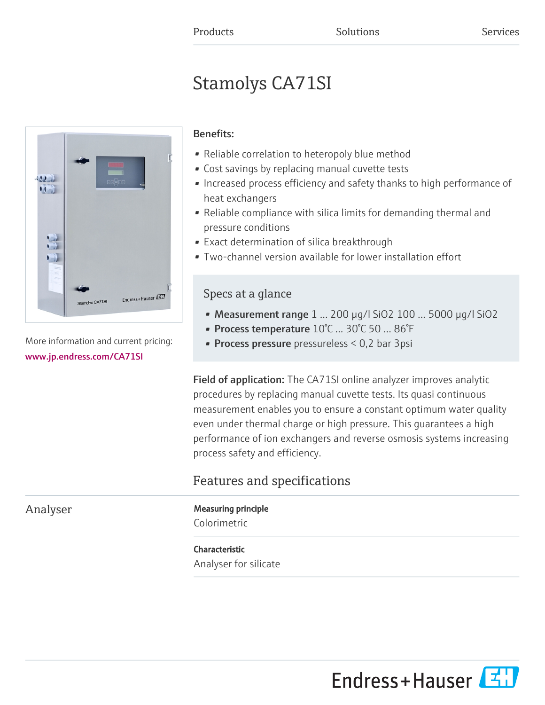# Stamolys CA71SI



More information and current pricing: [www.jp.endress.com/CA71SI](https://www.jp.endress.com/CA71SI)

### Benefits:

- Reliable correlation to heteropoly blue method
- Cost savings by replacing manual cuvette tests
- Increased process efficiency and safety thanks to high performance of heat exchangers
- Reliable compliance with silica limits for demanding thermal and pressure conditions
- Exact determination of silica breakthrough
- Two-channel version available for lower installation effort

## Specs at a glance

- Measurement range 1 ... 200 µg/l SiO2 100 ... 5000 µg/l SiO2
- Process temperature 10°C ... 30°C 50 ... 86°F
- **Process pressure** pressureless  $< 0.2$  bar 3psi

Field of application: The CA71SI online analyzer improves analytic procedures by replacing manual cuvette tests. Its quasi continuous measurement enables you to ensure a constant optimum water quality even under thermal charge or high pressure. This guarantees a high performance of ion exchangers and reverse osmosis systems increasing process safety and efficiency.

# Features and specifications

# Analyser Measuring principle

Colorimetric

### Characteristic

Analyser for silicate

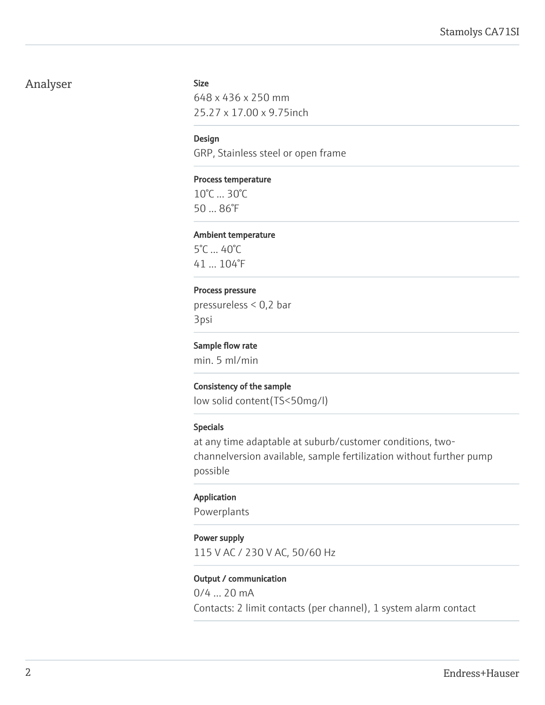### Analyser Size

648 x 436 x 250 mm 25.27 x 17.00 x 9.75inch

#### Design

GRP, Stainless steel or open frame

#### Process temperature

10°C ... 30°C 50 ... 86°F

#### Ambient temperature

5°C ... 40°C 41 ... 104°F

#### Process pressure

pressureless < 0,2 bar 3psi

#### Sample flow rate

min. 5 ml/min

#### Consistency of the sample

low solid content(TS<50mg/l)

#### Specials

at any time adaptable at suburb/customer conditions, twochannelversion available, sample fertilization without further pump possible

#### Application

Powerplants

#### Power supply

115 V AC / 230 V AC, 50/60 Hz

#### Output / communication

0/4 ... 20 mA Contacts: 2 limit contacts (per channel), 1 system alarm contact